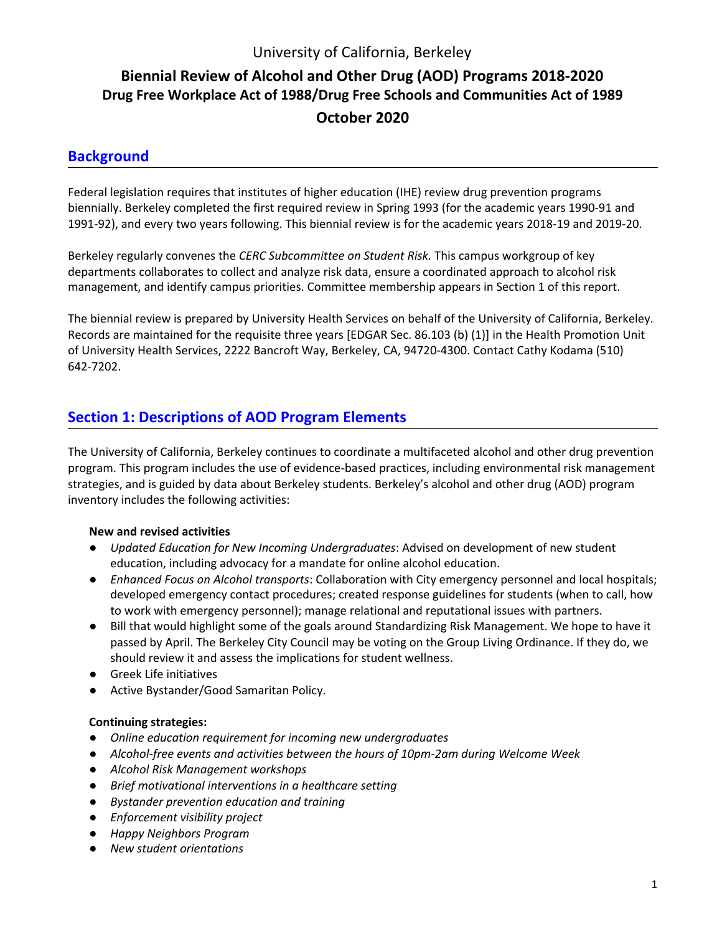## University of California, Berkeley

## **Biennial Review of Alcohol and Other Drug (AOD) Programs 2018-2020 Drug Free Workplace Act of 1988/Drug Free Schools and Communities Act of 1989 October 2020**

## **Background**

Federal legislation requires that institutes of higher education (IHE) review drug prevention programs biennially. Berkeley completed the first required review in Spring 1993 (for the academic years 1990-91 and 1991-92), and every two years following. This biennial review is for the academic years 2018-19 and 2019-20.

Berkeley regularly convenes the *CERC Subcommittee on Student Risk.* This campus workgroup of key departments collaborates to collect and analyze risk data, ensure a coordinated approach to alcohol risk management, and identify campus priorities. Committee membership appears in Section 1 of this report.

The biennial review is prepared by University Health Services on behalf of the University of California, Berkeley. Records are maintained for the requisite three years [EDGAR Sec. 86.103 (b) (1)] in the Health Promotion Unit of University Health Services, 2222 Bancroft Way, Berkeley, CA, 94720-4300. Contact Cathy Kodama (510) 642-7202.

## **Section 1: Descriptions of AOD Program Elements**

The University of California, Berkeley continues to coordinate a multifaceted alcohol and other drug prevention program. This program includes the use of evidence-based practices, including environmental risk management strategies, and is guided by data about Berkeley students. Berkeley's alcohol and other drug (AOD) program inventory includes the following activities:

#### **New and revised activities**

- *Updated Education for New Incoming Undergraduates*: Advised on development of new student education, including advocacy for a mandate for online alcohol education.
- *Enhanced Focus on Alcohol transports*: Collaboration with City emergency personnel and local hospitals; developed emergency contact procedures; created response guidelines for students (when to call, how to work with emergency personnel); manage relational and reputational issues with partners.
- Bill that would highlight some of the goals around Standardizing Risk Management. We hope to have it passed by April. The Berkeley City Council may be voting on the Group Living Ordinance. If they do, we should review it and assess the implications for student wellness.
- Greek Life initiatives
- Active Bystander/Good Samaritan Policy.

#### **Continuing strategies:**

- *Online education requirement for incoming new undergraduates*
- *Alcohol-free events and activities between the hours of 10pm-2am during Welcome Week*
- *Alcohol Risk Management workshops*
- *Brief motivational interventions in a healthcare setting*
- *Bystander prevention education and training*
- *Enforcement visibility project*
- *Happy Neighbors Program*
- *New student orientations*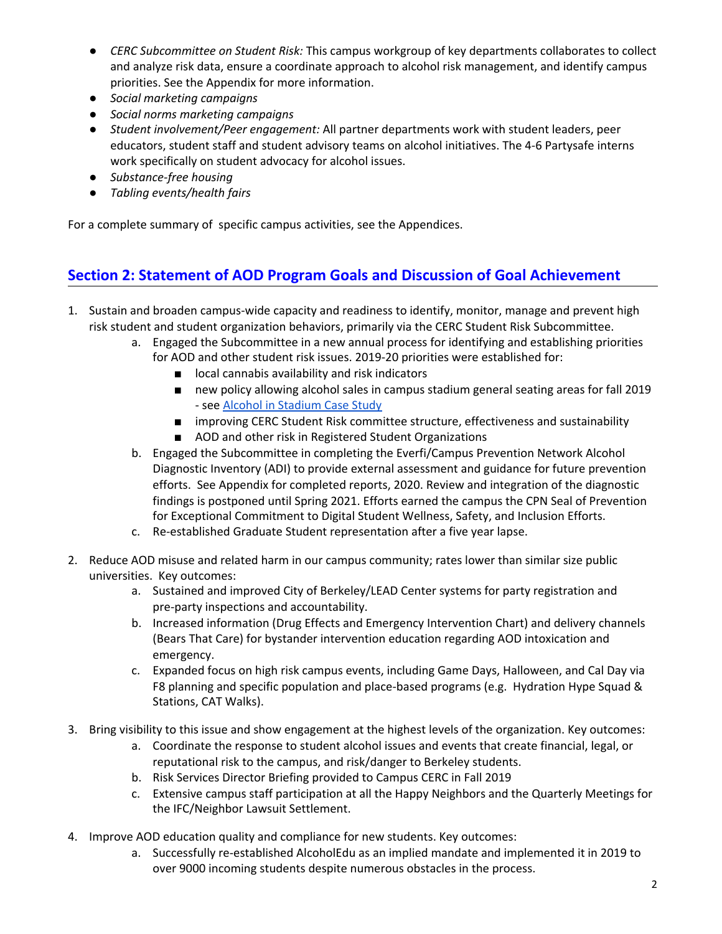- *CERC Subcommittee on Student Risk:* This campus workgroup of key departments collaborates to collect and analyze risk data, ensure a coordinate approach to alcohol risk management, and identify campus priorities. See the Appendix for more information.
- *Social marketing campaigns*
- *Social norms marketing campaigns*
- *Student involvement/Peer engagement:* All partner departments work with student leaders, peer educators, student staff and student advisory teams on alcohol initiatives. The 4-6 Partysafe interns work specifically on student advocacy for alcohol issues.
- *Substance-free housing*
- *Tabling events/health fairs*

For a complete summary of specific campus activities, see the Appendices.

## **Section 2: Statement of AOD Program Goals and Discussion of Goal Achievement**

- 1. Sustain and broaden campus-wide capacity and readiness to identify, monitor, manage and prevent high risk student and student organization behaviors, primarily via the CERC Student Risk Subcommittee.
	- a. Engaged the Subcommittee in a new annual process for identifying and establishing priorities for AOD and other student risk issues. 2019-20 priorities were established for:
		- local cannabis availability and risk indicators
		- new policy allowing alcohol sales in campus stadium general seating areas for fall 2019 - see Alcohol in [Stadium](https://docs.google.com/document/d/1-L0qZN7ILZgFb6alDP0rPyjBOWYZ0XRIMOSO7B130As/edit?usp=sharing) Case Study
		- improving CERC Student Risk committee structure, effectiveness and sustainability
		- AOD and other risk in Registered Student Organizations
	- b. Engaged the Subcommittee in completing the Everfi/Campus Prevention Network Alcohol Diagnostic Inventory (ADI) to provide external assessment and guidance for future prevention efforts. See Appendix for completed reports, 2020. Review and integration of the diagnostic findings is postponed until Spring 2021. Efforts earned the campus the CPN Seal of Prevention for Exceptional Commitment to Digital Student Wellness, Safety, and Inclusion Efforts.
	- c. Re-established Graduate Student representation after a five year lapse.
- 2. Reduce AOD misuse and related harm in our campus community; rates lower than similar size public universities. Key outcomes:
	- a. Sustained and improved City of Berkeley/LEAD Center systems for party registration and pre-party inspections and accountability.
	- b. Increased information (Drug Effects and Emergency Intervention Chart) and delivery channels (Bears That Care) for bystander intervention education regarding AOD intoxication and emergency.
	- c. Expanded focus on high risk campus events, including Game Days, Halloween, and Cal Day via F8 planning and specific population and place-based programs (e.g. Hydration Hype Squad & Stations, CAT Walks).
- 3. Bring visibility to this issue and show engagement at the highest levels of the organization. Key outcomes:
	- a. Coordinate the response to student alcohol issues and events that create financial, legal, or reputational risk to the campus, and risk/danger to Berkeley students.
	- b. Risk Services Director Briefing provided to Campus CERC in Fall 2019
	- c. Extensive campus staff participation at all the Happy Neighbors and the Quarterly Meetings for the IFC/Neighbor Lawsuit Settlement.
- 4. Improve AOD education quality and compliance for new students. Key outcomes:
	- a. Successfully re-established AlcoholEdu as an implied mandate and implemented it in 2019 to over 9000 incoming students despite numerous obstacles in the process.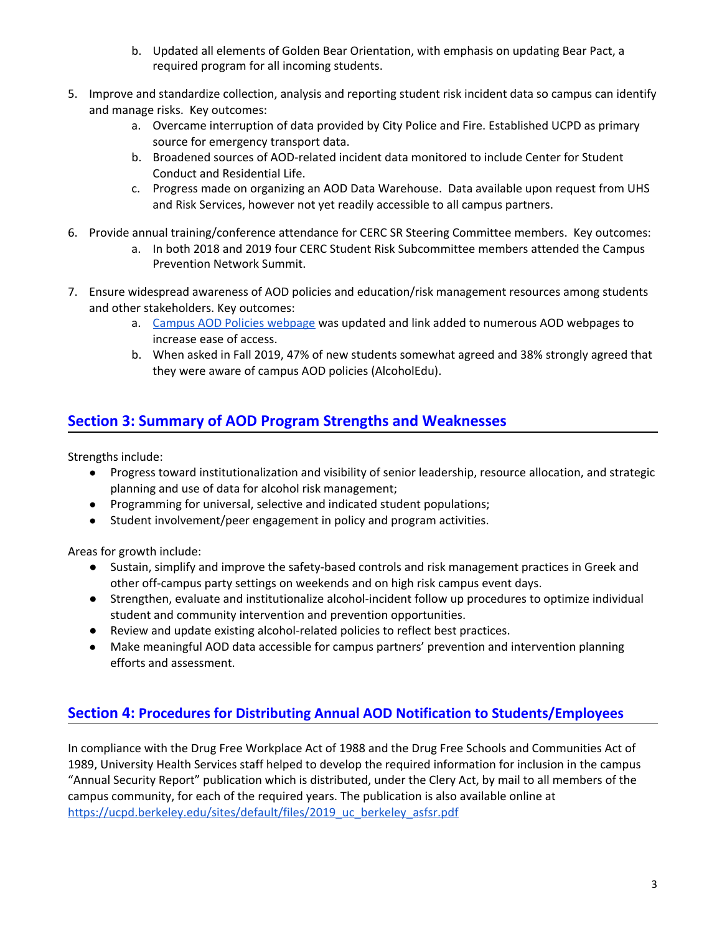- b. Updated all elements of Golden Bear Orientation, with emphasis on updating Bear Pact, a required program for all incoming students.
- 5. Improve and standardize collection, analysis and reporting student risk incident data so campus can identify and manage risks. Key outcomes:
	- a. Overcame interruption of data provided by City Police and Fire. Established UCPD as primary source for emergency transport data.
	- b. Broadened sources of AOD-related incident data monitored to include Center for Student Conduct and Residential Life.
	- c. Progress made on organizing an AOD Data Warehouse. Data available upon request from UHS and Risk Services, however not yet readily accessible to all campus partners.
- 6. Provide annual training/conference attendance for CERC SR Steering Committee members. Key outcomes:
	- a. In both 2018 and 2019 four CERC Student Risk Subcommittee members attended the Campus Prevention Network Summit.
- 7. Ensure widespread awareness of AOD policies and education/risk management resources among students and other stakeholders. Key outcomes:
	- a. Campus AOD Policies [webpage](https://riskservices.berkeley.edu/alcohol-other-drugs-campus) was updated and link added to numerous AOD webpages to increase ease of access.
	- b. When asked in Fall 2019, 47% of new students somewhat agreed and 38% strongly agreed that they were aware of campus AOD policies (AlcoholEdu).

## **Section 3: Summary of AOD Program Strengths and Weaknesses**

Strengths include:

- Progress toward institutionalization and visibility of senior leadership, resource allocation, and strategic planning and use of data for alcohol risk management;
- Programming for universal, selective and indicated student populations;
- Student involvement/peer engagement in policy and program activities.

Areas for growth include:

- Sustain, simplify and improve the safety-based controls and risk management practices in Greek and other off-campus party settings on weekends and on high risk campus event days.
- Strengthen, evaluate and institutionalize alcohol-incident follow up procedures to optimize individual student and community intervention and prevention opportunities.
- Review and update existing alcohol-related policies to reflect best practices.
- Make meaningful AOD data accessible for campus partners' prevention and intervention planning efforts and assessment.

## **Section 4: Procedures for Distributing Annual AOD Notification to Students/Employees**

In compliance with the Drug Free Workplace Act of 1988 and the Drug Free Schools and Communities Act of 1989, University Health Services staff helped to develop the required information for inclusion in the campus "Annual Security Report" publication which is distributed, under the Clery Act, by mail to all members of the campus community, for each of the required years. The publication is also available online at [https://ucpd.berkeley.edu/sites/default/files/2019\\_uc\\_berkeley\\_asfsr.pdf](https://ucpd.berkeley.edu/sites/default/files/2019_uc_berkeley_asfsr.pdf)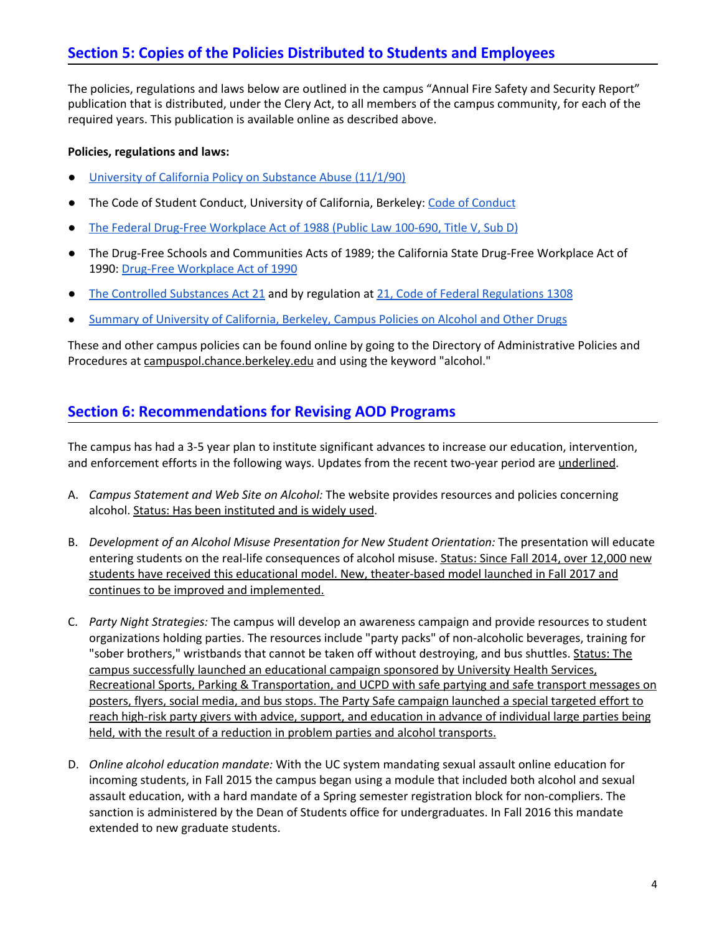## **Section 5: Copies of the Policies Distributed to Students and Employees**

The policies, regulations and laws below are outlined in the campus "Annual Fire Safety and Security Report" publication that is distributed, under the Clery Act, to all members of the campus community, for each of the required years. This publication is available online as described above.

#### **Policies, regulations and laws:**

- University of California Policy on [Substance](http://policy.ucop.edu/doc/4000386/SubstanceAbuse) Abuse (11/1/90)
- The Code of Student Conduct, University of California, Berkeley: Code of [Conduct](http://sa.berkeley.edu/code-of-conduct)
- The Federal Drug-Free [Workplace](https://www.govinfo.gov/content/pkg/USCODE-2009-title41/pdf/USCODE-2009-title41-chap10.pdf) Act of 1988 (Public Law 100-690, Title V, Sub D)
- The Drug-Free Schools and Communities Acts of 1989; the California State Drug-Free Workplace Act of 1990: Drug-Free [Workplace](https://www.calpers.ca.gov/index.jsp?bc=/business/how-to/contact-policies/drug-freework.xml) Act of 1990
- The Controlled [Substances](https://www.accessdata.fda.gov/scripts/cdrh/cfdocs/cfcfr/CFRSearch.cfm?CFRPart=1308) Act 21 and by regulation at 21, Code of Federal [Regulations](https://www.ecfr.gov/cgi-bin/text-idx?rgn=div5&node=21:9.0.1.1.9) 1308
- Summary of University of [California,](https://riskservices.berkeley.edu/alcohol-other-drugs-campus) Berkeley, Campus Policies on Alcohol and Other Drugs

These and other campus policies can be found online by going to the Directory of Administrative Policies and Procedures at [campuspol.chance.berkeley.edu](http://campuspol.chance.berkeley.edu/) and using the keyword "alcohol."

## **Section 6: Recommendations for Revising AOD Programs**

The campus has had a 3-5 year plan to institute significant advances to increase our education, intervention, and enforcement efforts in the following ways. Updates from the recent two-year period are underlined.

- A. *Campus Statement and Web Site on Alcohol:* The website provides resources and policies concerning alcohol. Status: Has been instituted and is widely used.
- B. *Development of an Alcohol Misuse Presentation for New Student Orientation:* The presentation will educate entering students on the real-life consequences of alcohol misuse. Status: Since Fall 2014, over 12,000 new students have received this educational model. New, theater-based model launched in Fall 2017 and continues to be improved and implemented.
- C. *Party Night Strategies:* The campus will develop an awareness campaign and provide resources to student organizations holding parties. The resources include "party packs" of non-alcoholic beverages, training for "sober brothers," wristbands that cannot be taken off without destroying, and bus shuttles. Status: The campus successfully launched an educational campaign sponsored by University Health Services, Recreational Sports, Parking & Transportation, and UCPD with safe partying and safe transport messages on posters, flyers, social media, and bus stops. The Party Safe campaign launched a special targeted effort to reach high-risk party givers with advice, support, and education in advance of individual large parties being held, with the result of a reduction in problem parties and alcohol transports.
- D. *Online alcohol education mandate:* With the UC system mandating sexual assault online education for incoming students, in Fall 2015 the campus began using a module that included both alcohol and sexual assault education, with a hard mandate of a Spring semester registration block for non-compliers. The sanction is administered by the Dean of Students office for undergraduates. In Fall 2016 this mandate extended to new graduate students.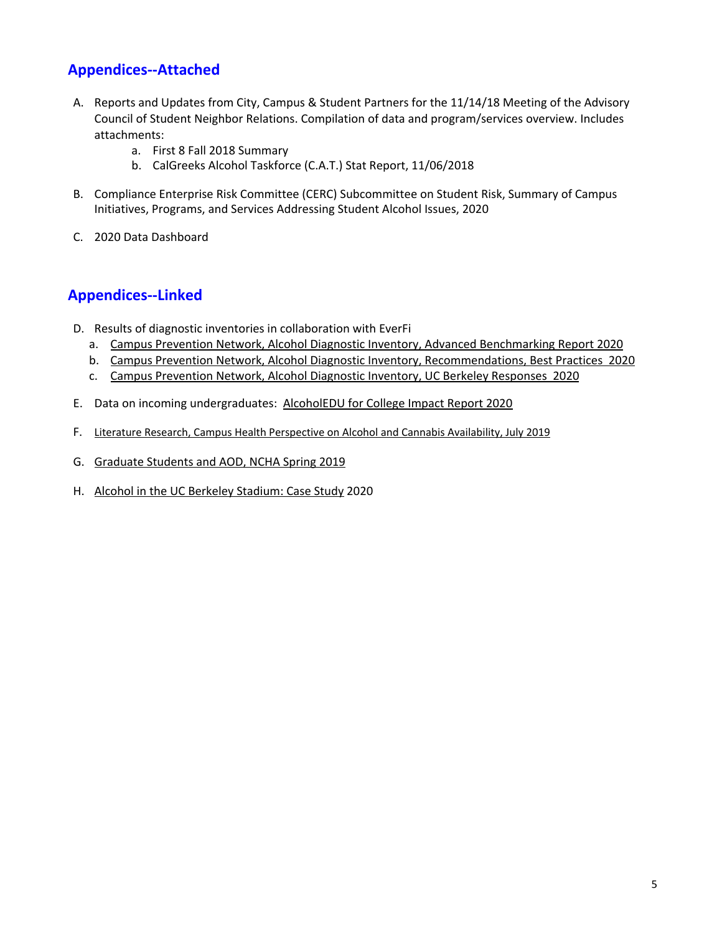## **Appendices--Attached**

- A. Reports and Updates from City, Campus & Student Partners for the 11/14/18 Meeting of the Advisory Council of Student Neighbor Relations. Compilation of data and program/services overview. Includes attachments:
	- a. First 8 Fall 2018 Summary
	- b. CalGreeks Alcohol Taskforce (C.A.T.) Stat Report, 11/06/2018
- B. Compliance Enterprise Risk Committee (CERC) Subcommittee on Student Risk, Summary of Campus Initiatives, Programs, and Services Addressing Student Alcohol Issues, 2020
- C. 2020 Data Dashboard

## **Appendices--Linked**

- D. Results of diagnostic inventories in collaboration with EverFi
	- a. Campus Prevention Network, Alcohol Diagnostic Inventory, Advanced [Benchmarking](https://drive.google.com/file/d/1RUW7rvQx_j-7zfJrtqGeLUFz024IWlo9/view?usp=sharing) Report 2020
	- b. Campus Prevention Network, Alcohol Diagnostic Inventory, [Recommendations,](https://drive.google.com/file/d/1sN_DmFvqqtBntMkr_j2wal0NZjOi7r-V/view?usp=sharing) Best Practices 2020
	- c. Campus [Prevention](https://drive.google.com/file/d/1g18VABeQspQTcJDsvd_4zM2tsPkJ03IM/view?usp=sharing) Network, Alcohol Diagnostic Inventory, UC Berkeley Responses 2020
- E. Data on incoming undergraduates: [AlcoholEDU](https://drive.google.com/file/d/1gzpMyR2A4FaSpeB3m-FtjKYx9cmd_P2_/view?usp=sharing) for College Impact Report 2020
- F. Literature Research, Campus Health [Perspective](https://docs.google.com/document/d/1xk6r0qqYblZbXGeafxfIlSjZ60WftEVkR5tIklLQI14/edit?usp=sharing) on Alcohol and Cannabis Availability, July 2019
- G. [Graduate](https://docs.google.com/presentation/d/17OefmP1lumObxpFnxB7ajJDDjxTD72wIjSUYQ3JM788/edit#slide=id.p) Students and AOD, NCHA Spring 2019
- H. Alcohol in the UC Berkeley [Stadium:](https://docs.google.com/document/d/1-L0qZN7ILZgFb6alDP0rPyjBOWYZ0XRIMOSO7B130As/edit?usp=sharing) Case Study 2020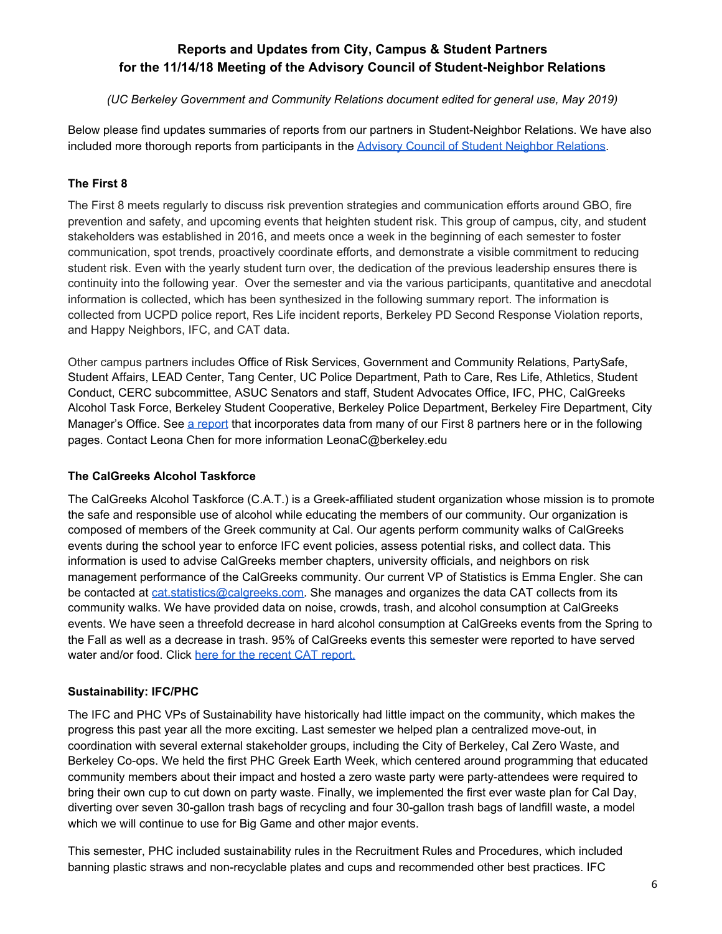## **Reports and Updates from City, Campus & Student Partners for the 11/14/18 Meeting of the Advisory Council of Student-Neighbor Relations**

#### *(UC Berkeley Government and Community Relations document edited for general use, May 2019)*

Below please find updates summaries of reports from our partners in Student-Neighbor Relations. We have also included more thorough reports from participants in the Advisory Council of Student Neighbor [Relations.](https://chancellor.berkeley.edu/advisory-council-student-neighbor-relations)

#### **The First 8**

The First 8 meets regularly to discuss risk prevention strategies and communication efforts around GBO, fire prevention and safety, and upcoming events that heighten student risk. This group of campus, city, and student stakeholders was established in 2016, and meets once a week in the beginning of each semester to foster communication, spot trends, proactively coordinate efforts, and demonstrate a visible commitment to reducing student risk. Even with the yearly student turn over, the dedication of the previous leadership ensures there is continuity into the following year. Over the semester and via the various participants, quantitative and anecdotal information is collected, which has been synthesized in the following summary report. The information is collected from UCPD police report, Res Life incident reports, Berkeley PD Second Response Violation reports, and Happy Neighbors, IFC, and CAT data.

Other campus partners includes Office of Risk Services, Government and Community Relations, PartySafe, Student Affairs, LEAD Center, Tang Center, UC Police Department, Path to Care, Res Life, Athletics, Student Conduct, CERC subcommittee, ASUC Senators and staff, Student Advocates Office, IFC, PHC, CalGreeks Alcohol Task Force, Berkeley Student Cooperative, Berkeley Police Department, Berkeley Fire Department, City Manager's Office. See a [report](https://docs.google.com/document/d/1hFtkKCSsVpfjKwubvyO49WBLeALjyiTiTVKVNuJMDTU/edit?usp=sharing) that incorporates data from many of our First 8 partners here or in the following pages. Contact Leona Chen for more information LeonaC@berkeley.edu

#### **The CalGreeks Alcohol Taskforce**

The CalGreeks Alcohol Taskforce (C.A.T.) is a Greek-affiliated student organization whose mission is to promote the safe and responsible use of alcohol while educating the members of our community. Our organization is composed of members of the Greek community at Cal. Our agents perform community walks of CalGreeks events during the school year to enforce IFC event policies, assess potential risks, and collect data. This information is used to advise CalGreeks member chapters, university officials, and neighbors on risk management performance of the CalGreeks community. Our current VP of Statistics is Emma Engler. She can be contacted at [cat.statistics@calgreeks.com.](mailto:cat.statistics@calgreeks.com) She manages and organizes the data CAT collects from its community walks. We have provided data on noise, crowds, trash, and alcohol consumption at CalGreeks events. We have seen a threefold decrease in hard alcohol consumption at CalGreeks events from the Spring to the Fall as well as a decrease in trash. 95% of CalGreeks events this semester were reported to have served water and/or food. Click here for the recent CAT [report.](https://docs.google.com/document/d/1lHEfozpXX-a0r5lblwhNbxqUQbLwwYHcpy8P-tMnhUs/edit?usp=sharing)

#### **Sustainability: IFC/PHC**

The IFC and PHC VPs of Sustainability have historically had little impact on the community, which makes the progress this past year all the more exciting. Last semester we helped plan a centralized move-out, in coordination with several external stakeholder groups, including the City of Berkeley, Cal Zero Waste, and Berkeley Co-ops. We held the first PHC Greek Earth Week, which centered around programming that educated community members about their impact and hosted a zero waste party were party-attendees were required to bring their own cup to cut down on party waste. Finally, we implemented the first ever waste plan for Cal Day, diverting over seven 30-gallon trash bags of recycling and four 30-gallon trash bags of landfill waste, a model which we will continue to use for Big Game and other major events.

This semester, PHC included sustainability rules in the Recruitment Rules and Procedures, which included banning plastic straws and non-recyclable plates and cups and recommended other best practices. IFC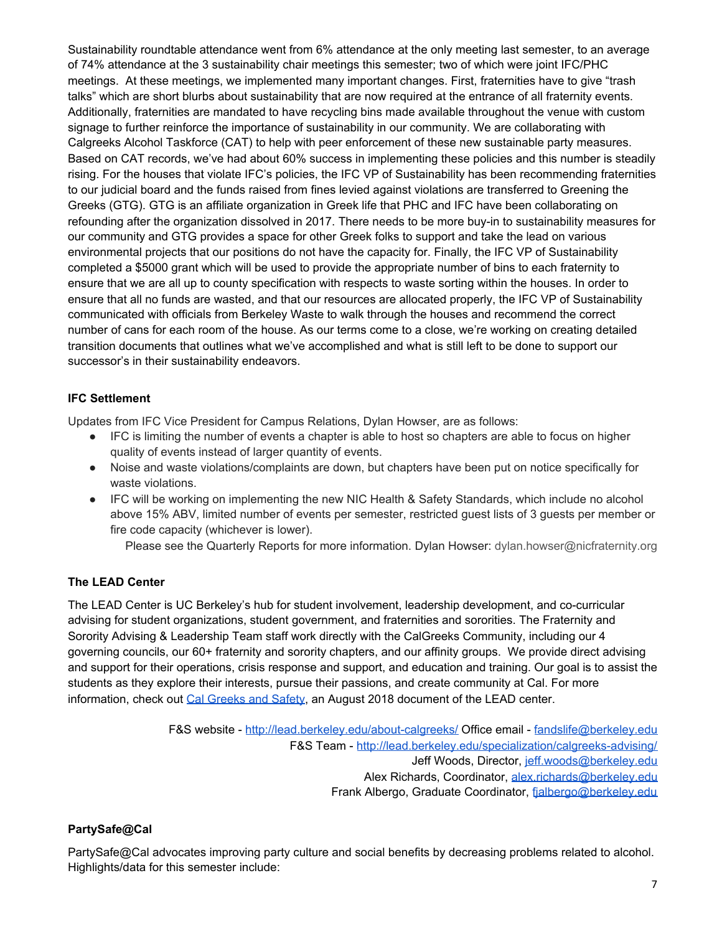Sustainability roundtable attendance went from 6% attendance at the only meeting last semester, to an average of 74% attendance at the 3 sustainability chair meetings this semester; two of which were joint IFC/PHC meetings. At these meetings, we implemented many important changes. First, fraternities have to give "trash talks" which are short blurbs about sustainability that are now required at the entrance of all fraternity events. Additionally, fraternities are mandated to have recycling bins made available throughout the venue with custom signage to further reinforce the importance of sustainability in our community. We are collaborating with Calgreeks Alcohol Taskforce (CAT) to help with peer enforcement of these new sustainable party measures. Based on CAT records, we've had about 60% success in implementing these policies and this number is steadily rising. For the houses that violate IFC's policies, the IFC VP of Sustainability has been recommending fraternities to our judicial board and the funds raised from fines levied against violations are transferred to Greening the Greeks (GTG). GTG is an affiliate organization in Greek life that PHC and IFC have been collaborating on refounding after the organization dissolved in 2017. There needs to be more buy-in to sustainability measures for our community and GTG provides a space for other Greek folks to support and take the lead on various environmental projects that our positions do not have the capacity for. Finally, the IFC VP of Sustainability completed a \$5000 grant which will be used to provide the appropriate number of bins to each fraternity to ensure that we are all up to county specification with respects to waste sorting within the houses. In order to ensure that all no funds are wasted, and that our resources are allocated properly, the IFC VP of Sustainability communicated with officials from Berkeley Waste to walk through the houses and recommend the correct number of cans for each room of the house. As our terms come to a close, we're working on creating detailed transition documents that outlines what we've accomplished and what is still left to be done to support our successor's in their sustainability endeavors.

#### **IFC Settlement**

Updates from IFC Vice President for Campus Relations, Dylan Howser, are as follows:

- IFC is limiting the number of events a chapter is able to host so chapters are able to focus on higher quality of events instead of larger quantity of events.
- Noise and waste violations/complaints are down, but chapters have been put on notice specifically for waste violations.
- IFC will be working on implementing the new NIC Health & Safety Standards, which include no alcohol above 15% ABV, limited number of events per semester, restricted guest lists of 3 guests per member or fire code capacity (whichever is lower).

Please see the Quarterly Reports for more information. Dylan Howser: dylan.howser@nicfraternity.org

#### **The LEAD Center**

The LEAD Center is UC Berkeley's hub for student involvement, leadership development, and co-curricular advising for student organizations, student government, and fraternities and sororities. The Fraternity and Sorority Advising & Leadership Team staff work directly with the CalGreeks Community, including our 4 governing councils, our 60+ fraternity and sorority chapters, and our affinity groups. We provide direct advising and support for their operations, crisis response and support, and education and training. Our goal is to assist the students as they explore their interests, pursue their passions, and create community at Cal. For more information, check out Cal [Greeks](https://drive.google.com/file/d/1yV-H-JjAlpGkXmLGDVSb7hsi7Dnm2lPT/view?usp=sharing) and Safety, an August 2018 document of the LEAD center.

> F&S website - <http://lead.berkeley.edu/about-calgreeks/> Office email - [fandslife@berkeley.edu](mailto:fandslife@berkeley.edu) F&S Team - <http://lead.berkeley.edu/specialization/calgreeks-advising/> Jeff Woods, Director, [jeff.woods@berkeley.edu](mailto:jeff.woods@berkeley.edu) Alex Richards, Coordinator, [alex.richards@berkeley.edu](mailto:alex.richards@berkeley.edu) Frank Albergo, Graduate Coordinator, [fjalbergo@berkeley.edu](mailto:fjalbergo@berkeley.edu)

#### **PartySafe@Cal**

PartySafe@Cal advocates improving party culture and social benefits by decreasing problems related to alcohol. Highlights/data for this semester include: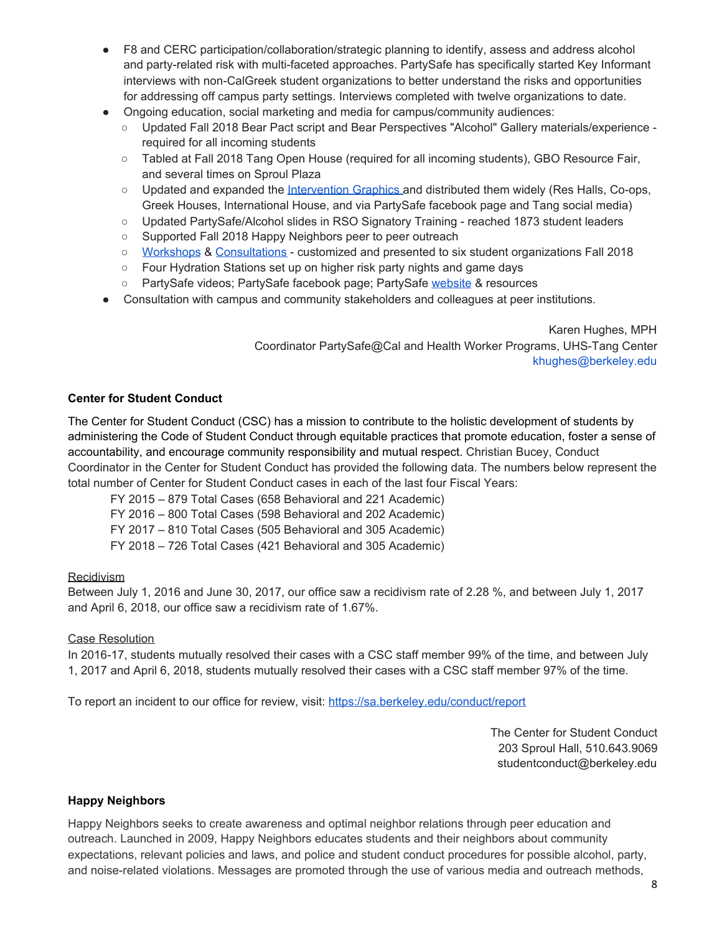- F8 and CERC participation/collaboration/strategic planning to identify, assess and address alcohol and party-related risk with multi-faceted approaches. PartySafe has specifically started Key Informant interviews with non-CalGreek student organizations to better understand the risks and opportunities for addressing off campus party settings. Interviews completed with twelve organizations to date.
- Ongoing education, social marketing and media for campus/community audiences:
	- Updated Fall 2018 Bear Pact script and Bear Perspectives "Alcohol" Gallery materials/experience required for all incoming students
	- Tabled at Fall 2018 Tang Open House (required for all incoming students), GBO Resource Fair, and several times on Sproul Plaza
	- Updated and expanded the [Intervention](https://uhs.berkeley.edu/intervention-scale) Graphics and distributed them widely (Res Halls, Co-ops, Greek Houses, International House, and via PartySafe facebook page and Tang social media)
	- Updated PartySafe/Alcohol slides in RSO Signatory Training reached 1873 student leaders
	- Supported Fall 2018 Happy Neighbors peer to peer outreach
	- [Workshops](https://drive.google.com/open?id=0ByWSIKCK4EIjRm1YalJrd1MtTEFYQmllMUhhZHhhaEw1Y3pZ) & [Consultations](https://drive.google.com/open?id=0ByWSIKCK4EIjWFByTlhET09SR1JpWFlQZXlNTEJEMEF3ODcw) customized and presented to six student organizations Fall 2018
	- Four Hydration Stations set up on higher risk party nights and game days
	- PartySafe videos; PartySafe facebook page; PartySafe [website](https://uhs.berkeley.edu/psafe) & resources
- Consultation with campus and community stakeholders and colleagues at peer institutions.

Karen Hughes, MPH Coordinator PartySafe@Cal and Health Worker Programs, UHS-Tang Center khughes@berkeley.edu

#### **Center for Student Conduct**

The Center for Student Conduct (CSC) has a mission to contribute to the holistic development of students by administering the Code of Student Conduct through equitable practices that promote education, foster a sense of accountability, and encourage community responsibility and mutual respect. Christian Bucey, Conduct Coordinator in the Center for Student Conduct has provided the following data. The numbers below represent the total number of Center for Student Conduct cases in each of the last four Fiscal Years:

FY 2015 – 879 Total Cases (658 Behavioral and 221 Academic) FY 2016 – 800 Total Cases (598 Behavioral and 202 Academic) FY 2017 – 810 Total Cases (505 Behavioral and 305 Academic) FY 2018 – 726 Total Cases (421 Behavioral and 305 Academic)

#### **Recidivism**

Between July 1, 2016 and June 30, 2017, our office saw a recidivism rate of 2.28 %, and between July 1, 2017 and April 6, 2018, our office saw a recidivism rate of 1.67%.

#### Case Resolution

In 2016-17, students mutually resolved their cases with a CSC staff member 99% of the time, and between July 1, 2017 and April 6, 2018, students mutually resolved their cases with a CSC staff member 97% of the time.

To report an incident to our office for review, visit: <https://sa.berkeley.edu/conduct/report>

The Center for Student Conduct 203 Sproul Hall, 510.643.9069 studentconduct@berkeley.edu

#### **Happy Neighbors**

Happy Neighbors seeks to create awareness and optimal neighbor relations through peer education and outreach. Launched in 2009, Happy Neighbors educates students and their neighbors about community expectations, relevant policies and laws, and police and student conduct procedures for possible alcohol, party, and noise-related violations. Messages are promoted through the use of various media and outreach methods,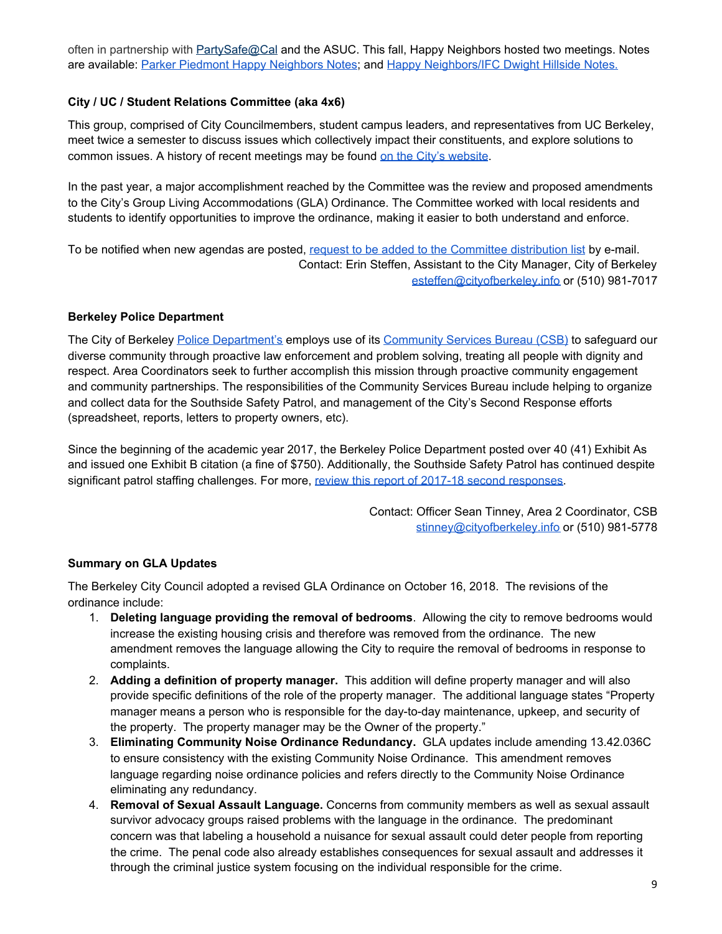often in partnership with [PartySafe@Cal](https://uhs.berkeley.edu/psafe/) and the ASUC. This fall, Happy Neighbors hosted two meetings. Notes are available: Parker Piedmont Happy [Neighbors](https://drive.google.com/file/d/1GD7FW1jcKst7ixt0vNhCWsIDD-IWRuiF/view?usp=sharing) Notes; and Happy [Neighbors/IFC](https://drive.google.com/file/d/1FdLcf4ooJ55UKzlcZW99pwTZM0P6HK4f/view?usp=sharing) Dwight Hillside Notes.

#### **City / UC / Student Relations Committee (aka 4x6)**

This group, comprised of City Councilmembers, student campus leaders, and representatives from UC Berkeley, meet twice a semester to discuss issues which collectively impact their constituents, and explore solutions to common issues. A history of recent meetings may be found on the City's [website](https://www.cityofberkeley.info/Clerk/Home/City/UC/Student_Relations_Committee.aspx).

In the past year, a major accomplishment reached by the Committee was the review and proposed amendments to the City's Group Living Accommodations (GLA) Ordinance. The Committee worked with local residents and students to identify opportunities to improve the ordinance, making it easier to both understand and enforce.

To be notified when new agendas are posted, request to be added to the Committee [distribution](mailto:esteffen@cityofberkeley.info) list by e-mail. Contact: Erin Steffen, Assistant to the City Manager, City of Berkeley [esteffen@cityofberkeley.info](mailto:esteffen@cityofberkeley.info) or (510) 981-7017

#### **Berkeley Police Department**

The City of Berkeley Police [Department's](https://www.cityofberkeley.info/police/) employs use of its [Community](https://www.cityofberkeley.info/Police/Home/Area_Coordinators.aspx) Services Bureau (CSB[\)](https://www.cityofberkeley.info/Police/Home/Area_Coordinators.aspx) to safeguard our diverse community through proactive law enforcement and problem solving, treating all people with dignity and respect. Area Coordinators seek to further accomplish this mission through proactive community engagement and community partnerships. The responsibilities of the Community Services Bureau include helping to organize and collect data for the Southside Safety Patrol, and management of the City's Second Response efforts (spreadsheet, reports, letters to property owners, etc).

Since the beginning of the academic year 2017, the Berkeley Police Department posted over 40 (41) Exhibit As and issued one Exhibit B citation (a fine of \$750). Additionally, the Southside Safety Patrol has continued despite significant patrol staffing challenges. For more, review this report of 2017-18 second [responses.](https://drive.google.com/file/d/1PaBfcRBfYeQgIoLtXH3_Cy_5-lQ4BZ_Z/view?usp=sharing)

> Contact: Officer Sean Tinney, Area 2 Coordinator, CSB [stinney@cityofberkeley.info](mailto:stinney@cityofberkeley.info) or (510) 981-5778

#### **Summary on GLA Updates**

The Berkeley City Council adopted a revised GLA Ordinance on October 16, 2018. The revisions of the ordinance include:

- 1. **Deleting language providing the removal of bedrooms**. Allowing the city to remove bedrooms would increase the existing housing crisis and therefore was removed from the ordinance. The new amendment removes the language allowing the City to require the removal of bedrooms in response to complaints.
- 2. **Adding a definition of property manager.** This addition will define property manager and will also provide specific definitions of the role of the property manager. The additional language states "Property manager means a person who is responsible for the day-to-day maintenance, upkeep, and security of the property. The property manager may be the Owner of the property."
- 3. **Eliminating Community Noise Ordinance Redundancy.** GLA updates include amending 13.42.036C to ensure consistency with the existing Community Noise Ordinance. This amendment removes language regarding noise ordinance policies and refers directly to the Community Noise Ordinance eliminating any redundancy.
- 4. **Removal of Sexual Assault Language.** Concerns from community members as well as sexual assault survivor advocacy groups raised problems with the language in the ordinance. The predominant concern was that labeling a household a nuisance for sexual assault could deter people from reporting the crime. The penal code also already establishes consequences for sexual assault and addresses it through the criminal justice system focusing on the individual responsible for the crime.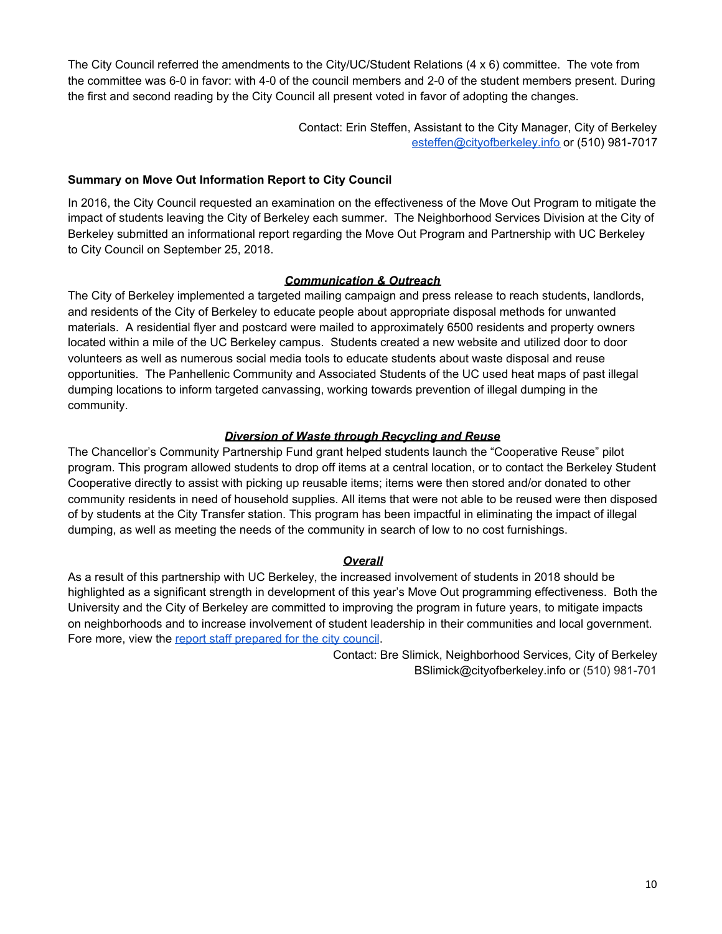The City Council referred the amendments to the City/UC/Student Relations (4 x 6) committee. The vote from the committee was 6-0 in favor: with 4-0 of the council members and 2-0 of the student members present. During the first and second reading by the City Council all present voted in favor of adopting the changes.

> Contact: Erin Steffen, Assistant to the City Manager, City of Berkeley [esteffen@cityofberkeley.info](mailto:esteffen@cityofberkeley.info) or (510) 981-7017

#### **Summary on Move Out Information Report to City Council**

In 2016, the City Council requested an examination on the effectiveness of the Move Out Program to mitigate the impact of students leaving the City of Berkeley each summer. The Neighborhood Services Division at the City of Berkeley submitted an informational report regarding the Move Out Program and Partnership with UC Berkeley to City Council on September 25, 2018.

#### *Communication & Outreach*

The City of Berkeley implemented a targeted mailing campaign and press release to reach students, landlords, and residents of the City of Berkeley to educate people about appropriate disposal methods for unwanted materials. A residential flyer and postcard were mailed to approximately 6500 residents and property owners located within a mile of the UC Berkeley campus. Students created a new website and utilized door to door volunteers as well as numerous social media tools to educate students about waste disposal and reuse opportunities. The Panhellenic Community and Associated Students of the UC used heat maps of past illegal dumping locations to inform targeted canvassing, working towards prevention of illegal dumping in the community.

#### *Diversion of Waste through Recycling and Reuse*

The Chancellor's Community Partnership Fund grant helped students launch the "Cooperative Reuse" pilot program. This program allowed students to drop off items at a central location, or to contact the Berkeley Student Cooperative directly to assist with picking up reusable items; items were then stored and/or donated to other community residents in need of household supplies. All items that were not able to be reused were then disposed of by students at the City Transfer station. This program has been impactful in eliminating the impact of illegal dumping, as well as meeting the needs of the community in search of low to no cost furnishings.

#### *Overall*

As a result of this partnership with UC Berkeley, the increased involvement of students in 2018 should be highlighted as a significant strength in development of this year's Move Out programming effectiveness. Both the University and the City of Berkeley are committed to improving the program in future years, to mitigate impacts on neighborhoods and to increase involvement of student leadership in their communities and local government. Fore more, view the report staff [prepared](https://drive.google.com/file/d/158WnyTo1uDAwz3m0ijn0k5TcBk8_kp0Z/view?usp=sharing) for the city council.

> Contact: Bre Slimick, Neighborhood Services, City of Berkeley BSlimick@cityofberkeley.info or (510) 981-701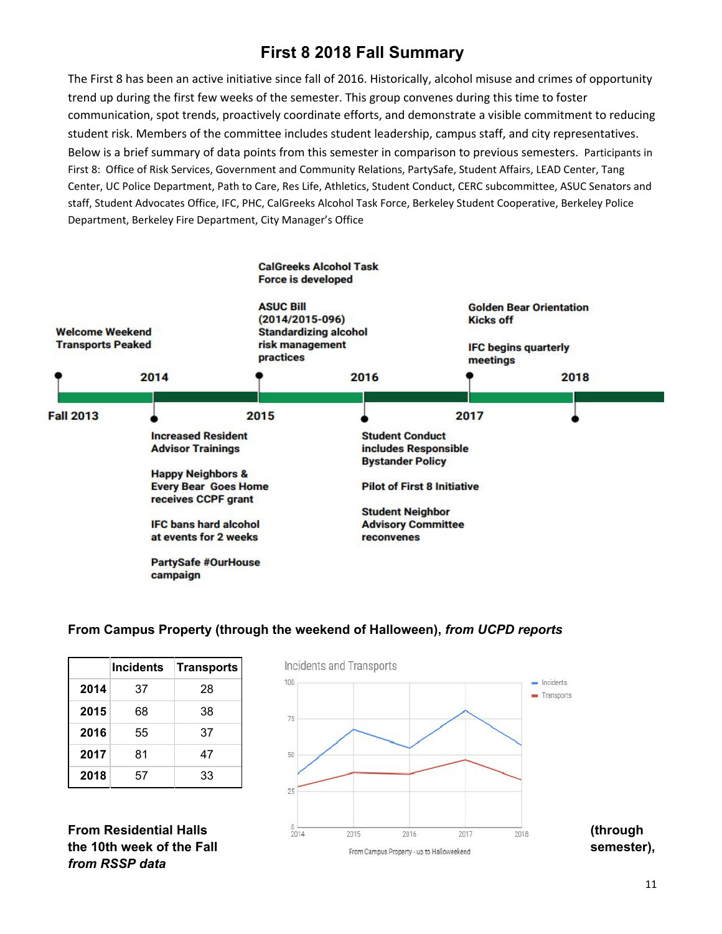# **First 8 2018 Fall Summary**

The First 8 has been an active initiative since fall of 2016. Historically, alcohol misuse and crimes of opportunity trend up during the first few weeks of the semester. This group convenes during this time to foster communication, spot trends, proactively coordinate efforts, and demonstrate a visible commitment to reducing student risk. Members of the committee includes student leadership, campus staff, and city representatives. Below is a brief summary of data points from this semester in comparison to previous semesters. Participants in First 8: Office of Risk Services, Government and Community Relations, PartySafe, Student Affairs, LEAD Center, Tang Center, UC Police Department, Path to Care, Res Life, Athletics, Student Conduct, CERC subcommittee, ASUC Senators and staff, Student Advocates Office, IFC, PHC, CalGreeks Alcohol Task Force, Berkeley Student Cooperative, Berkeley Police Department, Berkeley Fire Department, City Manager's Office



#### **From Campus Property (through the weekend of Halloween),** *from UCPD reports*

|      | <b>Incidents</b> | Transports |
|------|------------------|------------|
| 2014 | 37               | 28         |
| 2015 | 68               | 38         |
| 2016 | 55               | 37         |
| 2017 | 81               | 47         |
| 2018 | 57               | 33         |

*from RSSP data*

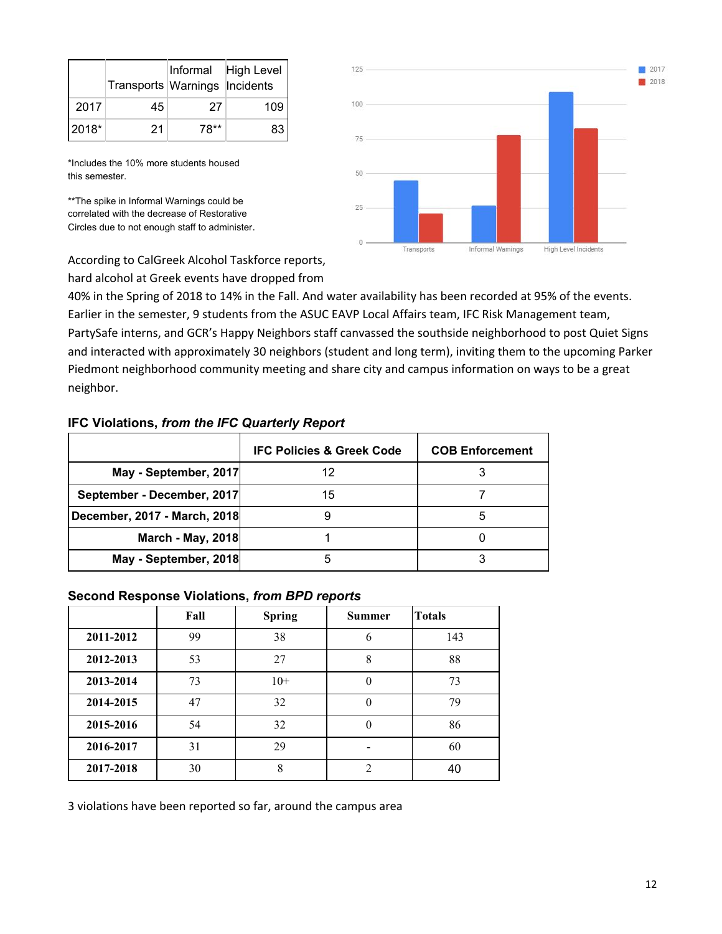|         | Transports Warnings Incidents |      | Informal High Level |
|---------|-------------------------------|------|---------------------|
| 2017    | 45                            | 27   | 109                 |
| $2018*$ | 21                            | 78** | 83                  |

\*Includes the 10% more students housed this semester.

\*\*The spike in Informal Warnings could be correlated with the decrease of Restorative Circles due to not enough staff to administer.



According to CalGreek Alcohol Taskforce reports, hard alcohol at Greek events have dropped from

40% in the Spring of 2018 to 14% in the Fall. And water availability has been recorded at 95% of the events. Earlier in the semester, 9 students from the ASUC EAVP Local Affairs team, IFC Risk Management team, PartySafe interns, and GCR's Happy Neighbors staff canvassed the southside neighborhood to post Quiet Signs and interacted with approximately 30 neighbors (student and long term), inviting them to the upcoming Parker Piedmont neighborhood community meeting and share city and campus information on ways to be a great neighbor.

#### **IFC Violations,** *from the IFC Quarterly Report*

|                              | <b>IFC Policies &amp; Greek Code</b> | <b>COB Enforcement</b> |
|------------------------------|--------------------------------------|------------------------|
| May - September, 2017        | 12                                   |                        |
| September - December, 2017   | 15                                   |                        |
| December, 2017 - March, 2018 |                                      | 5                      |
| <b>March - May, 2018</b>     |                                      |                        |
| May - September, 2018        | ۰.                                   |                        |

#### **Second Response Violations,** *from BPD reports*

|           | Fall | <b>Spring</b> | <b>Summer</b>  | <b>Totals</b> |
|-----------|------|---------------|----------------|---------------|
| 2011-2012 | 99   | 38            | 6              | 143           |
| 2012-2013 | 53   | 27            | 8              | 88            |
| 2013-2014 | 73   | $10+$         | 0              | 73            |
| 2014-2015 | 47   | 32            | 0              | 79            |
| 2015-2016 | 54   | 32            | 0              | 86            |
| 2016-2017 | 31   | 29            |                | 60            |
| 2017-2018 | 30   | 8             | $\overline{2}$ | 40            |

3 violations have been reported so far, around the campus area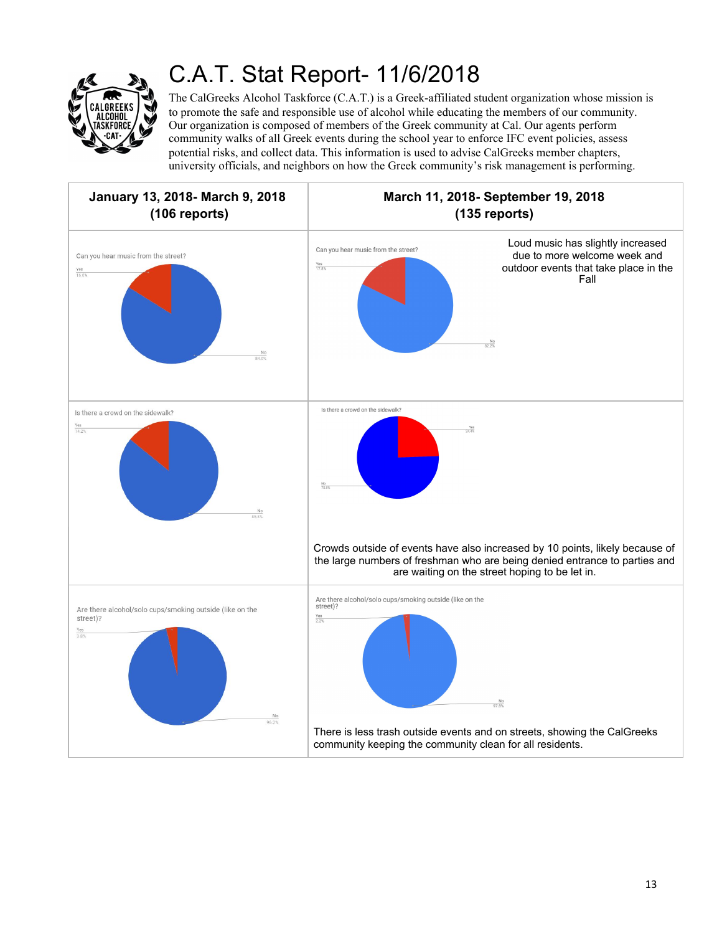

# C.A.T. Stat Report- 11/6/2018

The CalGreeks Alcohol Taskforce (C.A.T.) is a Greek-affiliated student organization whose mission is to promote the safe and responsible use of alcohol while educating the members of our community. Our organization is composed of members of the Greek community at Cal. Our agents perform community walks of all Greek events during the school year to enforce IFC event policies, assess potential risks, and collect data. This information is used to advise CalGreeks member chapters, university officials, and neighbors on how the Greek community's risk management is performing.

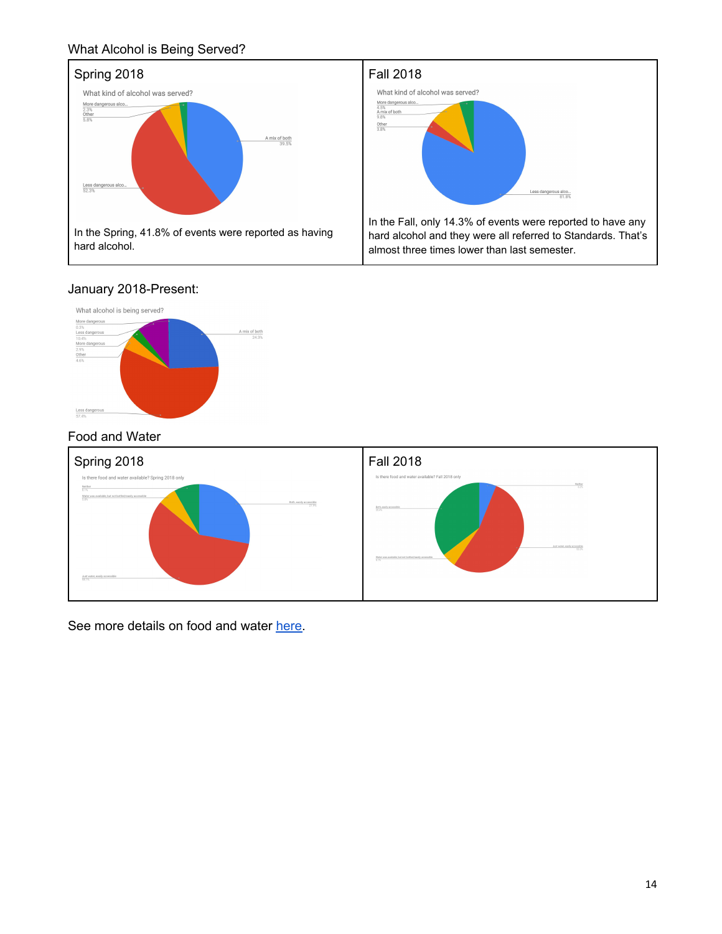## What Alcohol is Being Served?



## January 2018-Present:



## Food and Water



See more details on food and water [here](https://docs.google.com/spreadsheets/d/1R8WP9XNkX6TG4d6XJXNqxzCGMNWvCu_SrVUNZhK3O6g/edit?usp=sharing).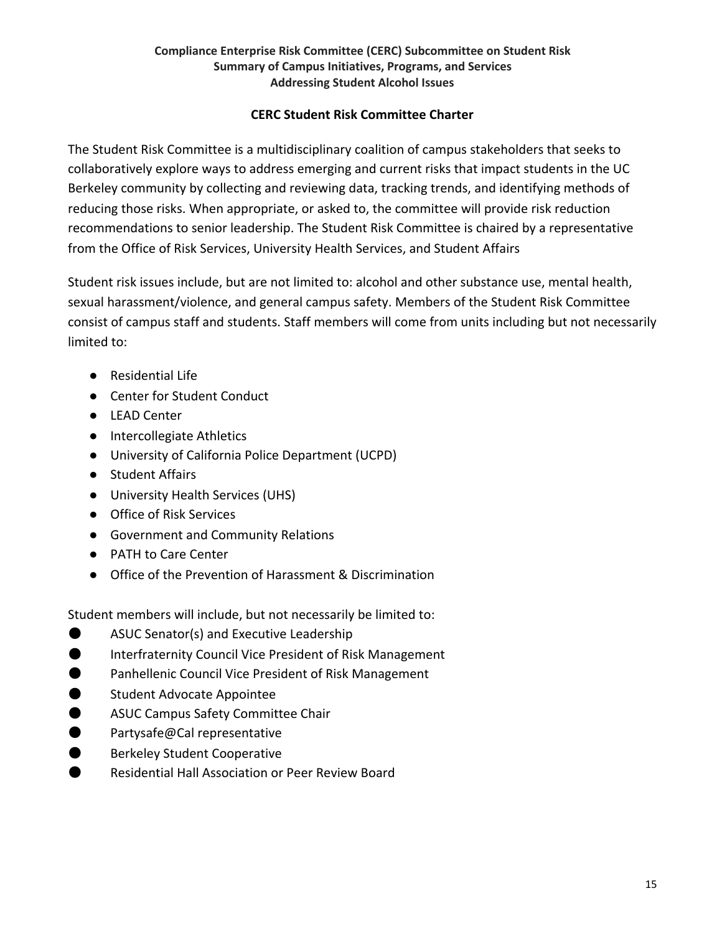#### **Compliance Enterprise Risk Committee (CERC) Subcommittee on Student Risk Summary of Campus Initiatives, Programs, and Services Addressing Student Alcohol Issues**

## **CERC Student Risk Committee Charter**

The Student Risk Committee is a multidisciplinary coalition of campus stakeholders that seeks to collaboratively explore ways to address emerging and current risks that impact students in the UC Berkeley community by collecting and reviewing data, tracking trends, and identifying methods of reducing those risks. When appropriate, or asked to, the committee will provide risk reduction recommendations to senior leadership. The Student Risk Committee is chaired by a representative from the Office of Risk Services, University Health Services, and Student Affairs

Student risk issues include, but are not limited to: alcohol and other substance use, mental health, sexual harassment/violence, and general campus safety. Members of the Student Risk Committee consist of campus staff and students. Staff members will come from units including but not necessarily limited to:

- Residential Life
- Center for Student Conduct
- LEAD Center
- Intercollegiate Athletics
- University of California Police Department (UCPD)
- Student Affairs
- University Health Services (UHS)
- Office of Risk Services
- Government and Community Relations
- PATH to Care Center
- Office of the Prevention of Harassment & Discrimination

Student members will include, but not necessarily be limited to:

- ASUC Senator(s) and Executive Leadership
- **O** Interfraternity Council Vice President of Risk Management
- Panhellenic Council Vice President of Risk Management
- Student Advocate Appointee
- ASUC Campus Safety Committee Chair
- Partysafe@Cal representative
- Berkeley Student Cooperative
- Residential Hall Association or Peer Review Board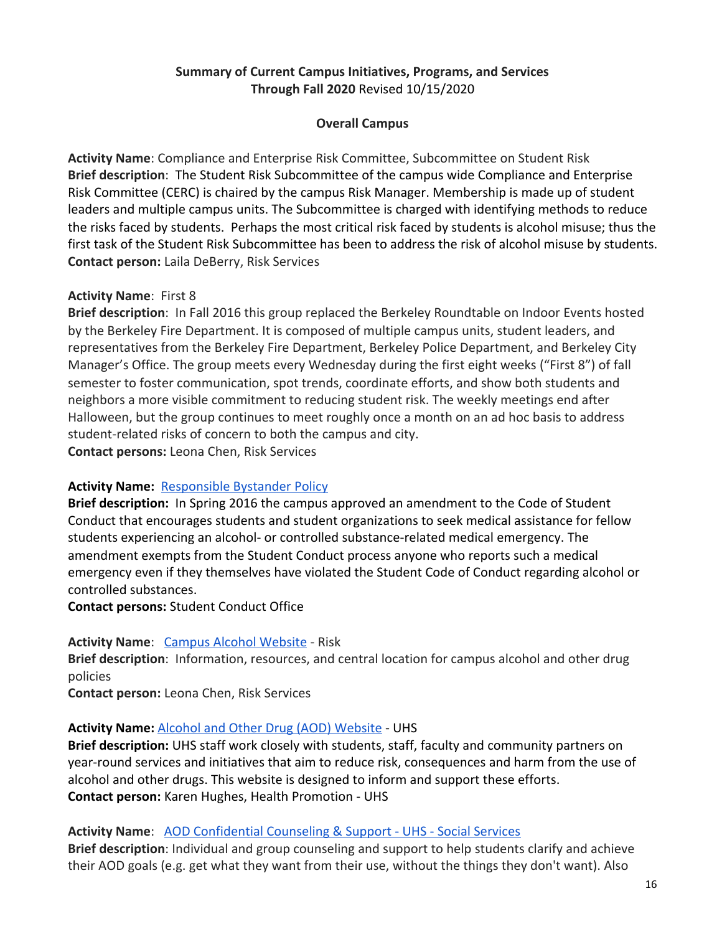## **Summary of Current Campus Initiatives, Programs, and Services Through Fall 2020** Revised 10/15/2020

## **Overall Campus**

**Activity Name**: Compliance and Enterprise Risk Committee, Subcommittee on Student Risk **Brief description**: The Student Risk Subcommittee of the campus wide Compliance and Enterprise Risk Committee (CERC) is chaired by the campus Risk Manager. Membership is made up of student leaders and multiple campus units. The Subcommittee is charged with identifying methods to reduce the risks faced by students. Perhaps the most critical risk faced by students is alcohol misuse; thus the first task of the Student Risk Subcommittee has been to address the risk of alcohol misuse by students. **Contact person:** Laila DeBerry, Risk Services

## **Activity Name**: First 8

**Brief description**: In Fall 2016 this group replaced the Berkeley Roundtable on Indoor Events hosted by the Berkeley Fire Department. It is composed of multiple campus units, student leaders, and representatives from the Berkeley Fire Department, Berkeley Police Department, and Berkeley City Manager's Office. The group meets every Wednesday during the first eight weeks ("First 8") of fall semester to foster communication, spot trends, coordinate efforts, and show both students and neighbors a more visible commitment to reducing student risk. The weekly meetings end after Halloween, but the group continues to meet roughly once a month on an ad hoc basis to address student-related risks of concern to both the campus and city. **Contact persons:** Leona Chen, Risk Services

## **Activity Name: [Responsible Bystander Policy](http://sa.berkeley.edu/sites/default/files/UCB%20Responsible%20Bystander%20Policy%20Final%205-6-16.pdf)**

**Brief description:** In Spring 2016 the campus approved an amendment to the Code of Student Conduct that encourages students and student organizations to seek medical assistance for fellow students experiencing an alcohol- or controlled substance-related medical emergency. The amendment exempts from the Student Conduct process anyone who reports such a medical emergency even if they themselves have violated the Student Code of Conduct regarding alcohol or controlled substances.

**Contact persons:** Student Conduct Office

## Activity Name: [Campus Alcohol Website](http://riskservices.berkeley.edu/alcohol-campus) - Risk

**Brief description**: Information, resources, and central location for campus alcohol and other drug policies

**Contact person:** Leona Chen, Risk Services

## **Activity Name:** [Alcohol and Other Drug \(AOD\) Website](https://uhs.berkeley.edu/health-topics/alcohol-and-other-drugs) - UHS

**Brief description:** UHS staff work closely with students, staff, faculty and community partners on year-round services and initiatives that aim to reduce risk, consequences and harm from the use of alcohol and other drugs. This website is designed to inform and support these efforts. **Contact person:** Karen Hughes, Health Promotion - UH[S](http://riskservices.berkeley.edu/alcohol-campus)

**Activity Name**: [AOD Confidential Counseling & Support - UHS - Social Services](https://uhs.berkeley.edu/counseling/social-services/specialty-counseling/alcohol-and-other-drugs)

**Brief description**: Individual and group counseling and support to help students clarify and achieve their AOD goals (e.g. get what they want from their use, without the things they don't want). Also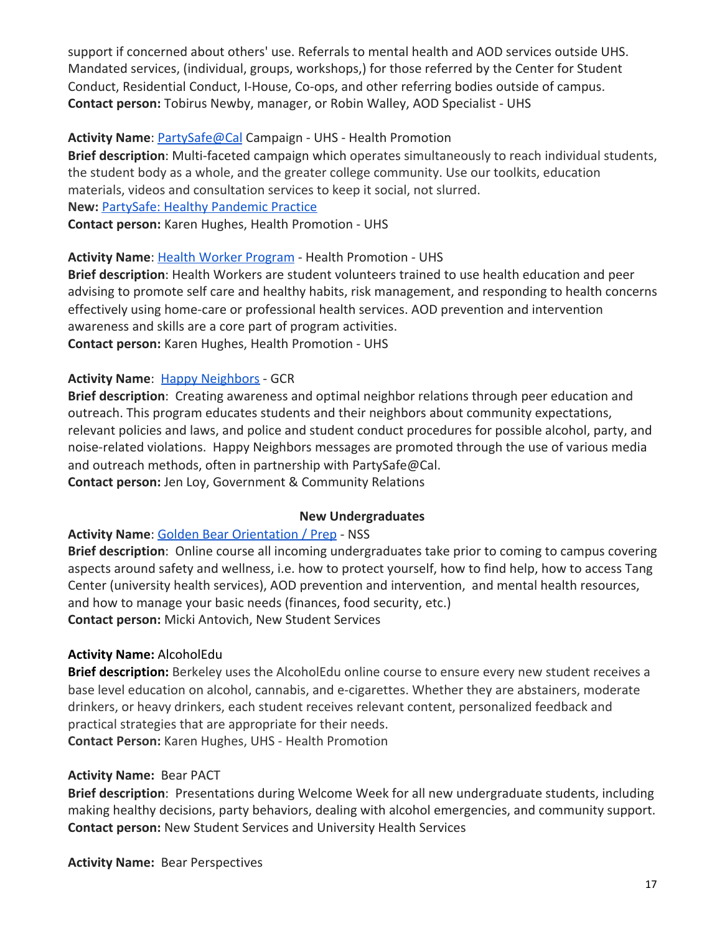support if concerned about others' use. Referrals to mental health and AOD services outside UHS. Mandated services, (individual, groups, workshops,) for those referred by the Center for Student Conduct, Residential Conduct, I-House, Co-ops, and other referring bodies outside of campus. **Contact person:** Tobirus Newby, manager, or Robin Walley, AOD Specialist - UHS

## **Activity Name**: [PartySafe@Cal](https://uhs.berkeley.edu/psafe/) Campaign - UHS - Health Promotion

**Brief description**: Multi-faceted campaign which operates simultaneously to reach individual students, the student body as a whole, and the greater college community. Use our toolkits, education materials, videos and consultation services to keep it social, not slurred. **New:** [PartySafe: Healthy Pandemic Practice](https://uhs.berkeley.edu/coronavirus/health-information/protect-yourself-and-others-prevention/partysafe-healthy-pandemic)

**Contact person:** Karen Hughes, Health Promotion - UHS

## **Activity Name**: [Health Worker Program](https://uhs.berkeley.edu/healthworkers) - Health Promotion - UHS

**Brief description**: Health Workers are student volunteers trained to use health education and peer advising to promote self care and healthy habits, risk management, and responding to health concerns effectively using home-care or professional health services. AOD prevention and intervention awareness and skills are a core part of program activities. **Contact person:** Karen Hughes, Health Promotion - UH[S](https://uhs.berkeley.edu/psafe/)

## **Activity Name**: [Happy Neighbors](http://chancellor.berkeley.edu/gcr/local-community/programs-initiatives#happy) - GCR

**Brief description**: Creating awareness and optimal neighbor relations through peer education and outreach. This program educates students and their neighbors about community expectations, relevant policies and laws, and police and student conduct procedures for possible alcohol, party, and noise-related violations. Happy Neighbors messages are promoted through the use of various media and outreach methods, often in partnership with PartySafe@Cal. **Contact person:** Jen Loy, Government & Community Relations

## **New Undergraduates**

## **Activity Name**: [Golden Bear Orientation / Prep](https://orientation.berkeley.edu/new-students/before-you-arrive/golden-bear-prep/) - NSS

**Brief description**: Online course all incoming undergraduates take prior to coming to campus covering aspects around safety and wellness, i.e. how to protect yourself, how to find help, how to access Tang Center (university health services), AOD prevention and intervention, and mental health resources, and how to manage your basic needs (finances, food security, etc.) **Contact person:** Micki Antovich, New Student Services

## **Activity Name:** AlcoholEdu

**Brief description:** Berkeley uses the AlcoholEdu online course to ensure every new student receives a base level education on alcohol, cannabis, and e-cigarettes. Whether they are abstainers, moderate drinkers, or heavy drinkers, each student receives relevant content, personalized feedback and practical strategies that are appropriate for their needs. **Contact Person:** Karen Hughes, UHS - Health Promotion

## **Activity Name:** Bear PACT

**Brief description**: Presentations during Welcome Week for all new undergraduate students, including making healthy decisions, party behaviors, dealing with alcohol emergencies, and community support. **Contact person:** New Student Services and University Health Services

**Activity Name:** Bear Perspectives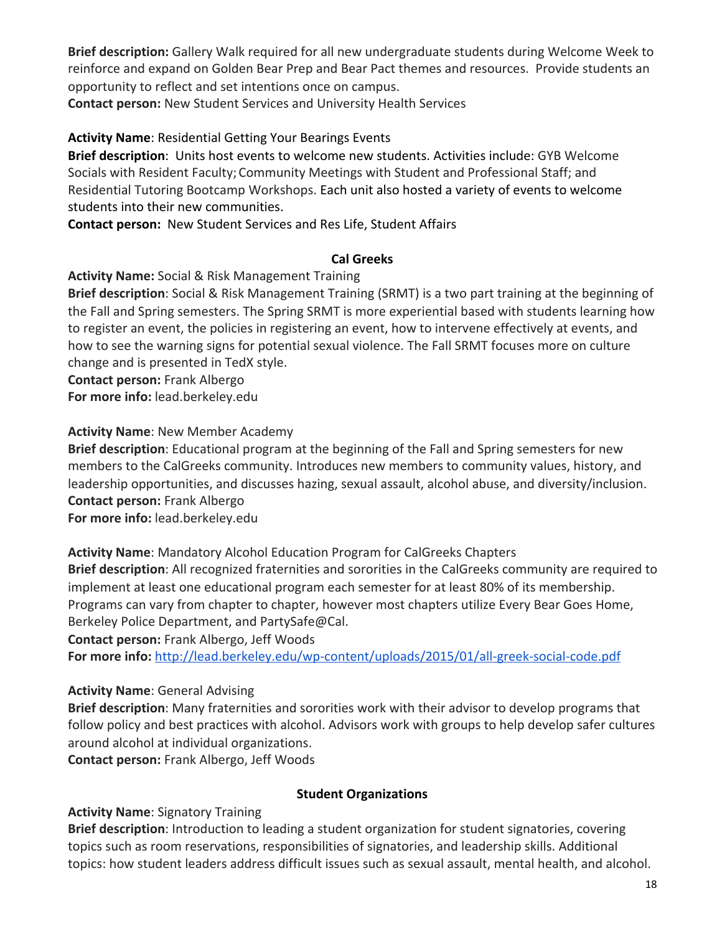**Brief description:** Gallery Walk required for all new undergraduate students during Welcome Week to reinforce and expand on Golden Bear Prep and Bear Pact themes and resources. Provide students an opportunity to reflect and set intentions once on campus.

**Contact person:** New Student Services and University Health Services

## **Activity Name**: Residential Getting Your Bearings Events

**Brief description**: Units host events to welcome new students. Activities include: GYB Welcome Socials with Resident Faculty; Community Meetings with Student and Professional Staff; and Residential Tutoring Bootcamp Workshops. Each unit also hosted a variety of events to welcome students into their new communities.

**Contact person:** New Student Services and Res Life, Student Affairs

## **Cal Greeks**

**Activity Name:** Social & Risk Management Training

**Brief description**: Social & Risk Management Training (SRMT) is a two part training at the beginning of the Fall and Spring semesters. The Spring SRMT is more experiential based with students learning how to register an event, the policies in registering an event, how to intervene effectively at events, and how to see the warning signs for potential sexual violence. The Fall SRMT focuses more on culture change and is presented in TedX style.

**Contact person:** Frank Albergo **For more info:** lead.berkeley.edu

**Activity Name**: New Member Academy

**Brief description**: Educational program at the beginning of the Fall and Spring semesters for new members to the CalGreeks community. Introduces new members to community values, history, and leadership opportunities, and discusses hazing, sexual assault, alcohol abuse, and diversity/inclusion. **Contact person:** Frank Albergo

**For more info:** lead.berkeley.edu

**Activity Name**: Mandatory Alcohol Education Program for CalGreeks Chapters

**Brief description**: All recognized fraternities and sororities in the CalGreeks community are required to implement at least one educational program each semester for at least 80% of its membership. Programs can vary from chapter to chapter, however most chapters utilize Every Bear Goes Home, Berkeley Police Department, and PartySafe@Cal.

**Contact person:** Frank Albergo, Jeff Woods

**For more info:** <http://lead.berkeley.edu/wp-content/uploads/2015/01/all-greek-social-code.pdf>

## **Activity Name**: General Advising

**Brief description**: Many fraternities and sororities work with their advisor to develop programs that follow policy and best practices with alcohol. Advisors work with groups to help develop safer cultures around alcohol at individual organizations.

**Contact person:** Frank Albergo, Jeff Woods

## **Student Organizations**

## **Activity Name**: Signatory Training

**Brief description**: Introduction to leading a student organization for student signatories, covering topics such as room reservations, responsibilities of signatories, and leadership skills. Additional topics: how student leaders address difficult issues such as sexual assault, mental health, and alcohol.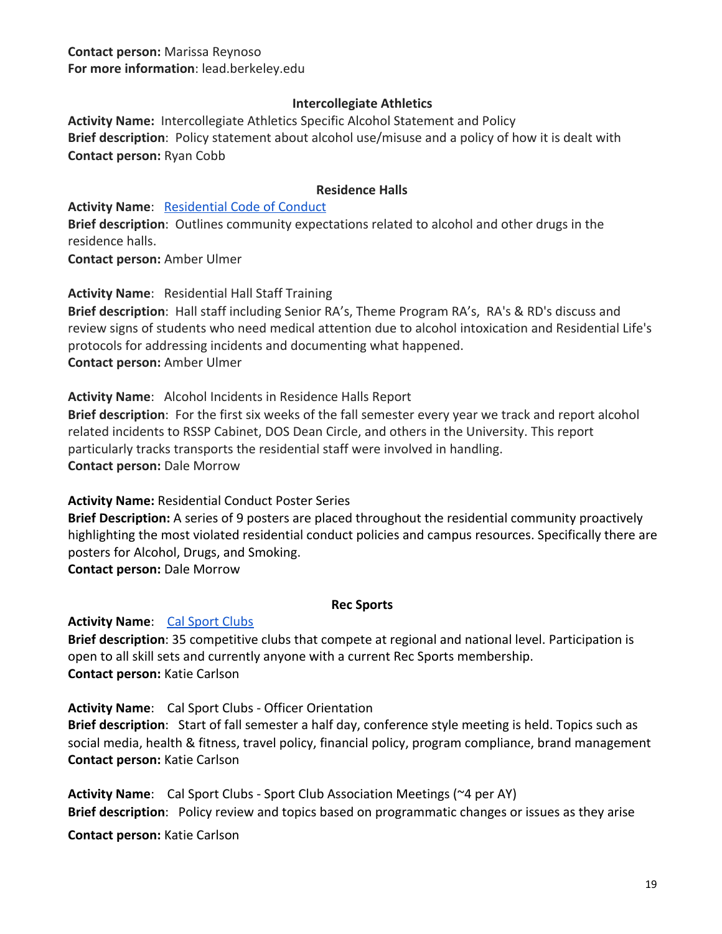**Contact person:** Marissa Reynoso **For more information**: lead.berkeley.edu

#### **Intercollegiate Athletics**

**Activity Name:** Intercollegiate Athletics Specific Alcohol Statement and Policy **Brief description**: Policy statement about alcohol use/misuse and a policy of how it is dealt with **Contact person:** Ryan Cobb

#### **Residence Halls**

**Activity Name:** [Residential Code of Conduct](https://reslife.berkeley.edu/conduct/residential-code-conduct) **Brief description**: Outlines community expectations related to alcohol and other drugs in the residence halls.

**Contact person:** Amber Ulmer

**Activity Name**: Residential Hall Staff Training

**Brief description**: Hall staff including Senior RA's, Theme Program RA's, RA's & RD's discuss and review signs of students who need medical attention due to alcohol intoxication and Residential Life's protocols for addressing incidents and documenting what happened. **Contact person:** Amber Ulmer

**Activity Name**: Alcohol Incidents in Residence Halls Report **Brief description**: For the first six weeks of the fall semester every year we track and report alcohol related incidents to RSSP Cabinet, DOS Dean Circle, and others in the University. This report particularly tracks transports the residential staff were involved in handling. **Contact person:** Dale Morrow

**Activity Name:** Residential Conduct Poster Series

**Brief Description:** A series of 9 posters are placed throughout the residential community proactively highlighting the most violated residential conduct policies and campus resources. Specifically there are posters for Alcohol, Drugs, and Smoking. **Contact person:** Dale Morrow

#### **Rec Sports**

**Activity Name:** [Cal Sport Clubs](https://recsports.berkeley.edu/sport-clubs/)

**Brief description**: 35 competitive clubs that compete at regional and national level. Participation is open to all skill sets and currently anyone with a current Rec Sports membership. **Contact person:** Katie Carlson

**Activity Name**: Cal Sport Clubs - Officer Orientation **Brief description**: Start of fall semester a half day, conference style meeting is held. Topics such as social media, health & fitness, travel policy, financial policy, program compliance, brand management **Contact person:** Katie Carlson

**Activity Name**: Cal Sport Clubs - Sport Club Association Meetings (~4 per AY) **Brief description**: Policy review and topics based on programmatic changes or issues as they arise

**Contact person:** Katie Carlson